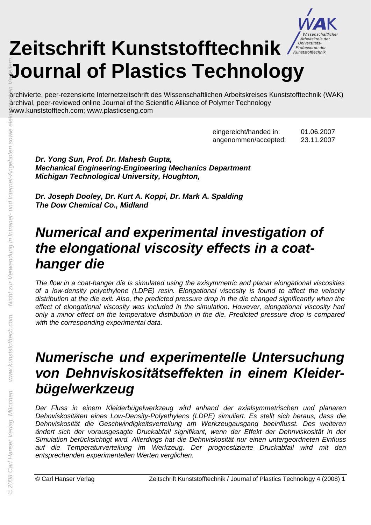

# Zeitschrift Kunststofftechnik **/** 2 **Journal of Plastics Technology**

archivierte, peer-rezensierte Internetzeitschrift des Wissenschaftlichen Arbeitskreises Kunststofftechnik (WAK) archival, peer-reviewed online Journal of the Scientific Alliance of Polymer Technology

> eingereicht/handed in: 01.06.2007 angenommen/accepted: 23.11.2007

*Dr. Yong Sun, Prof. Dr. Mahesh Gupta, Mechanical Engineering-Engineering Mechanics Department Michigan Technological University, Houghton,* 

*Dr. Joseph Dooley, Dr. Kurt A. Koppi, Dr. Mark A. Spalding The Dow Chemical Co., Midland* 

## *Numerical and experimental investigation of the elongational viscosity effects in a coathanger die*

*The flow in a coat-hanger die is simulated using the axisymmetric and planar elongational viscosities of a low-density polyethylene (LDPE) resin. Elongational viscosity is found to affect the velocity distribution at the die exit. Also, the predicted pressure drop in the die changed significantly when the effect of elongational viscosity was included in the simulation. However, elongational viscosity had only a minor effect on the temperature distribution in the die. Predicted pressure drop is compared with the corresponding experimental data.* 

# *Numerische und experimentelle Untersuchung von Dehnviskositätseffekten in einem Kleiderbügelwerkzeug*

*Der Fluss in einem Kleiderbügelwerkzeug wird anhand der axialsymmetrischen und planaren Dehnviskositäten eines Low-Density-Polyethylens (LDPE) simuliert. Es stellt sich heraus, dass die Dehnviskosität die Geschwindigkeitsverteilung am Werkzeugausgang beeinflusst. Des weiteren ändert sich der vorausgesagte Druckabfall signifikant, wenn der Effekt der Dehnviskosität in der Simulation berücksichtigt wird. Allerdings hat die Dehnviskosität nur einen untergeordneten Einfluss auf die Temperaturverteilung im Werkzeug. Der prognostizierte Druckabfall wird mit den entsprechenden experimentellen Werten verglichen.*  **Summate Source Angel Municipal Carl Hanser Verlag, München Werendung and Source Angel München Werendung in Internet-Angel München Werendung in Internet-Angel München Werendung in Internet-Angebor<br>
München Werendung Intern**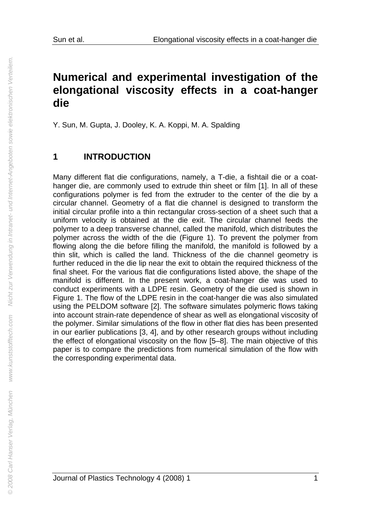## **Numerical and experimental investigation of the elongational viscosity effects in a coat-hanger die**

Y. Sun, M. Gupta, J. Dooley, K. A. Koppi, M. A. Spalding

#### **1 INTRODUCTION**

Many different flat die configurations, namely, a T-die, a fishtail die or a coathanger die, are commonly used to extrude thin sheet or film [1]. In all of these configurations polymer is fed from the extruder to the center of the die by a circular channel. Geometry of a flat die channel is designed to transform the initial circular profile into a thin rectangular cross-section of a sheet such that a uniform velocity is obtained at the die exit. The circular channel feeds the polymer to a deep transverse channel, called the manifold, which distributes the polymer across the width of the die (Figure 1). To prevent the polymer from flowing along the die before filling the manifold, the manifold is followed by a thin slit, which is called the land. Thickness of the die channel geometry is further reduced in the die lip near the exit to obtain the required thickness of the final sheet. For the various flat die configurations listed above, the shape of the manifold is different. In the present work, a coat-hanger die was used to conduct experiments with a LDPE resin. Geometry of the die used is shown in Figure 1. The flow of the LDPE resin in the coat-hanger die was also simulated using the PELDOM software [2]. The software simulates polymeric flows taking into account strain-rate dependence of shear as well as elongational viscosity of the polymer. Similar simulations of the flow in other flat dies has been presented in our earlier publications [3, 4], and by other research groups without including the effect of elongational viscosity on the flow [5–8]. The main objective of this paper is to compare the predictions from numerical simulation of the flow with the corresponding experimental data.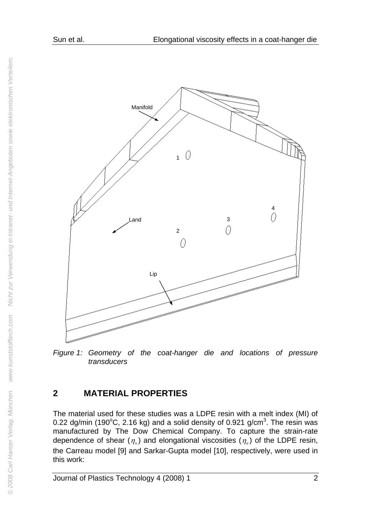

Figure 1: Geometry of the coat-hanger die and locations of pressure *transducers* 

## **2 MATERIAL PROPERTIES**

The material used for these studies was a LDPE resin with a melt index (MI) of 0.22 dg/min (190 $\degree$ C, 2.16 kg) and a solid density of 0.921 g/cm $\degree$ . The resin was manufactured by The Dow Chemical Company. To capture the strain-rate dependence of shear  $(\eta_c)$  and elongational viscosities  $(\eta_c)$  of the LDPE resin, the Carreau model [9] and Sarkar-Gupta model [10], respectively, were used in this work: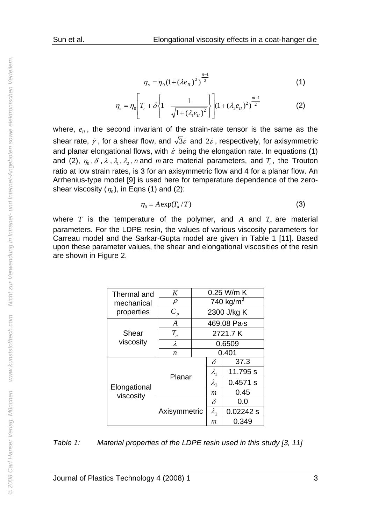$$
\eta_s = \eta_0 (1 + (\lambda e_{II})^2)^{\frac{n-1}{2}}
$$
 (1)

$$
\eta_e = \eta_0 \left[ T_r + \delta \left\{ 1 - \frac{1}{\sqrt{1 + (\lambda_1 e_H)^2}} \right\} \right] (1 + (\lambda_2 e_H)^2)^{\frac{m-1}{2}} \tag{2}
$$

where,  $e_{\rm II}$ , the second invariant of the strain-rate tensor is the same as the shear rate,  $\dot{\gamma}$  , for a shear flow, and  $\sqrt{3}\dot{\varepsilon}$  and  $2\dot{\varepsilon}$  , respectively, for axisymmetric and planar elongational flows, with  $\dot{\varepsilon}$  being the elongation rate. In equations (1) and (2),  $\eta_0$ ,  $\delta$ ,  $\lambda$ ,  $\lambda_1$ ,  $\lambda_2$ ,  $n$  and  $m$  are material parameters, and  $T_r$ , the Trouton ratio at low strain rates, is 3 for an axisymmetric flow and 4 for a planar flow. An Arrhenius-type model [9] is used here for temperature dependence of the zeroshear viscosity ( $\eta_0$ ), in Eqns (1) and (2):

$$
\eta_0 = A \exp(T_a / T) \tag{3}
$$

where  $T$  is the temperature of the polymer, and  $A$  and  $T_a$  are material parameters. For the LDPE resin, the values of various viscosity parameters for Carreau model and the Sarkar-Gupta model are given in Table 1 [11]. Based upon these parameter values, the shear and elongational viscosities of the resin are shown in Figure 2.

| Thermal and               | K                | 0.25 W/m K            |                |            |
|---------------------------|------------------|-----------------------|----------------|------------|
| mechanical                | $\rho$           | 740 kg/m <sup>3</sup> |                |            |
| properties                | $C_p$            | 2300 J/kg K           |                |            |
| Shear<br>viscosity        | $\boldsymbol{A}$ | 469.08 Pa·s           |                |            |
|                           | $T_{a}$          | 2721.7K               |                |            |
|                           | $\lambda$        | 0.6509                |                |            |
|                           | n                | 0.401                 |                |            |
| Elongational<br>viscosity | Planar           |                       | $\delta$       | 37.3       |
|                           |                  |                       | $\lambda_{1}$  | 11.795 s   |
|                           |                  |                       | $\lambda$      | $0.4571$ s |
|                           |                  |                       | $\mathfrak{m}$ | 0.45       |
|                           | Axisymmetric     |                       | $\delta$       | 0.0        |
|                           |                  |                       | $\lambda_{2}$  | 0.02242 s  |
|                           |                  |                       | m              | 0.349      |

*Table 1: Material properties of the LDPE resin used in this study [3, 11]*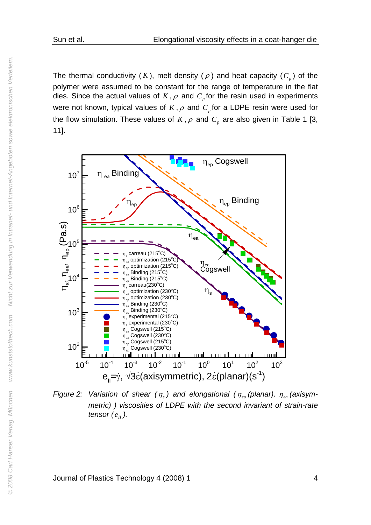The thermal conductivity  $(K)$ , melt density  $(\rho)$  and heat capacity  $(C_p)$  of the polymer were assumed to be constant for the range of temperature in the flat dies. Since the actual values of  $K$ ,  $\rho$  and  $C_p$  for the resin used in experiments were not known, typical values of  $K$ ,  $\rho$  and  $C_p$  for a LDPE resin were used for the flow simulation. These values of  $K$ ,  $\rho$  and  $C_p$  are also given in Table 1 [3, 11].



*Figure 2: Variation of shear*  $(\eta_s)$  and elongational  $(\eta_m)$  (planar),  $\eta_{eq}$  (axisym*metric) ) viscosities of LDPE with the second invariant of strain-rate tensor*  $(e_{ij})$ .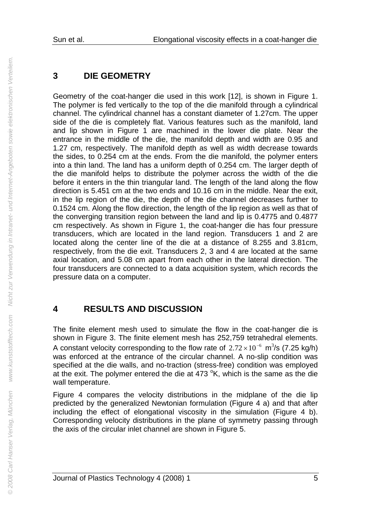## **3 DIE GEOMETRY**

Geometry of the coat-hanger die used in this work [12], is shown in Figure 1. The polymer is fed vertically to the top of the die manifold through a cylindrical channel. The cylindrical channel has a constant diameter of 1.27cm. The upper side of the die is completely flat. Various features such as the manifold, land and lip shown in Figure 1 are machined in the lower die plate. Near the entrance in the middle of the die, the manifold depth and width are 0.95 and 1.27 cm, respectively. The manifold depth as well as width decrease towards the sides, to 0.254 cm at the ends. From the die manifold, the polymer enters into a thin land. The land has a uniform depth of 0.254 cm. The larger depth of the die manifold helps to distribute the polymer across the width of the die before it enters in the thin triangular land. The length of the land along the flow direction is 5.451 cm at the two ends and 10.16 cm in the middle. Near the exit, in the lip region of the die, the depth of the die channel decreases further to 0.1524 cm. Along the flow direction, the length of the lip region as well as that of the converging transition region between the land and lip is 0.4775 and 0.4877 cm respectively. As shown in Figure 1, the coat-hanger die has four pressure transducers, which are located in the land region. Transducers 1 and 2 are located along the center line of the die at a distance of 8.255 and 3.81cm, respectively, from the die exit. Transducers 2, 3 and 4 are located at the same axial location, and 5.08 cm apart from each other in the lateral direction. The four transducers are connected to a data acquisition system, which records the pressure data on a computer.

## **4 RESULTS AND DISCUSSION**

The finite element mesh used to simulate the flow in the coat-hanger die is shown in Figure 3. The finite element mesh has 252,759 tetrahedral elements. A constant velocity corresponding to the flow rate of  $2.72 \times 10^{-6}$  m<sup>3</sup>/s (7.25 kg/h) was enforced at the entrance of the circular channel. A no-slip condition was specified at the die walls, and no-traction (stress-free) condition was employed at the exit. The polymer entered the die at  $473$  °K, which is the same as the die wall temperature.

Figure 4 compares the velocity distributions in the midplane of the die lip predicted by the generalized Newtonian formulation (Figure 4 a) and that after including the effect of elongational viscosity in the simulation (Figure 4 b). Corresponding velocity distributions in the plane of symmetry passing through the axis of the circular inlet channel are shown in Figure 5.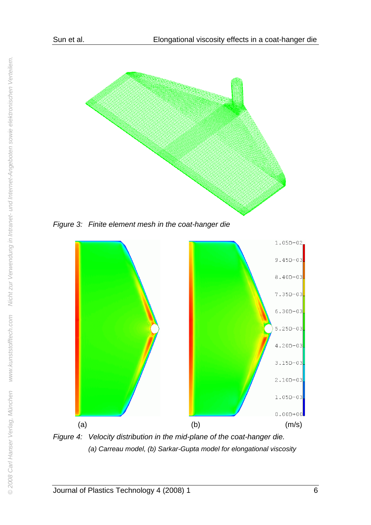

*Figure 3: Finite element mesh in the coat-hanger die* 



*Figure 4: Velocity distribution in the mid-plane of the coat-hanger die. (a) Carreau model, (b) Sarkar-Gupta model for elongational viscosity*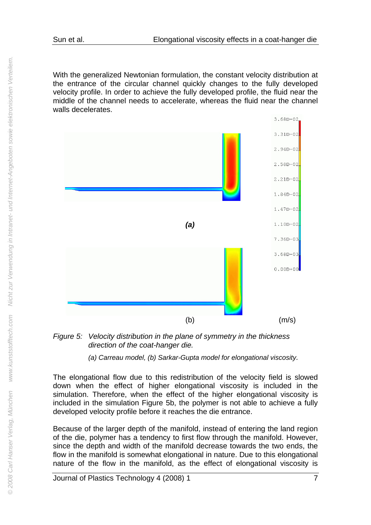With the generalized Newtonian formulation, the constant velocity distribution at the entrance of the circular channel quickly changes to the fully developed velocity profile. In order to achieve the fully developed profile, the fluid near the middle of the channel needs to accelerate, whereas the fluid near the channel walls decelerates.



*Figure 5: Velocity distribution in the plane of symmetry in the thickness direction of the coat-hanger die.* 

*(a) Carreau model, (b) Sarkar-Gupta model for elongational viscosity.* 

The elongational flow due to this redistribution of the velocity field is slowed down when the effect of higher elongational viscosity is included in the simulation. Therefore, when the effect of the higher elongational viscosity is included in the simulation Figure 5b, the polymer is not able to achieve a fully developed velocity profile before it reaches the die entrance.

Because of the larger depth of the manifold, instead of entering the land region of the die, polymer has a tendency to first flow through the manifold. However, since the depth and width of the manifold decrease towards the two ends, the flow in the manifold is somewhat elongational in nature. Due to this elongational nature of the flow in the manifold, as the effect of elongational viscosity is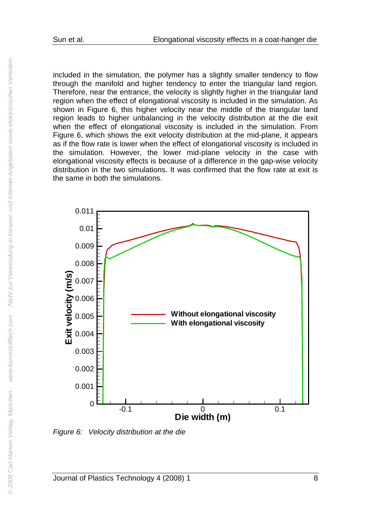included in the simulation, the polymer has a slightly smaller tendency to flow through the manifold and higher tendency to enter the triangular land region. Therefore, near the entrance, the velocity is slightly higher in the triangular land region when the effect of elongational viscosity is included in the simulation. As shown in Figure 6, this higher velocity near the middle of the triangular land region leads to higher unbalancing in the velocity distribution at the die exit when the effect of elongational viscosity is included in the simulation. From Figure 6, which shows the exit velocity distribution at the mid-plane, it appears as if the flow rate is lower when the effect of elongational viscosity is included in the simulation. However, the lower mid-plane velocity in the case with elongational viscosity effects is because of a difference in the gap-wise velocity distribution in the two simulations. It was confirmed that the flow rate at exit is the same in both the simulations.



*Figure 6: Velocity distribution at the die*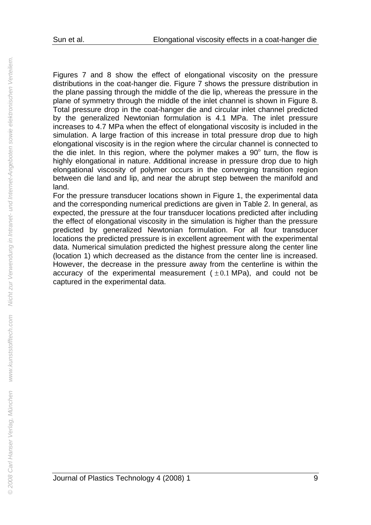Figures 7 and 8 show the effect of elongational viscosity on the pressure distributions in the coat-hanger die. Figure 7 shows the pressure distribution in the plane passing through the middle of the die lip, whereas the pressure in the plane of symmetry through the middle of the inlet channel is shown in Figure 8. Total pressure drop in the coat-hanger die and circular inlet channel predicted by the generalized Newtonian formulation is 4.1 MPa. The inlet pressure increases to 4.7 MPa when the effect of elongational viscosity is included in the simulation. A large fraction of this increase in total pressure drop due to high elongational viscosity is in the region where the circular channel is connected to the die inlet. In this region, where the polymer makes a  $90^\circ$  turn, the flow is highly elongational in nature. Additional increase in pressure drop due to high elongational viscosity of polymer occurs in the converging transition region between die land and lip, and near the abrupt step between the manifold and land.

For the pressure transducer locations shown in Figure 1, the experimental data and the corresponding numerical predictions are given in Table 2. In general, as expected, the pressure at the four transducer locations predicted after including the effect of elongational viscosity in the simulation is higher than the pressure predicted by generalized Newtonian formulation. For all four transducer locations the predicted pressure is in excellent agreement with the experimental data. Numerical simulation predicted the highest pressure along the center line (location 1) which decreased as the distance from the center line is increased. However, the decrease in the pressure away from the centerline is within the accuracy of the experimental measurement  $(±0.1$  MPa), and could not be captured in the experimental data.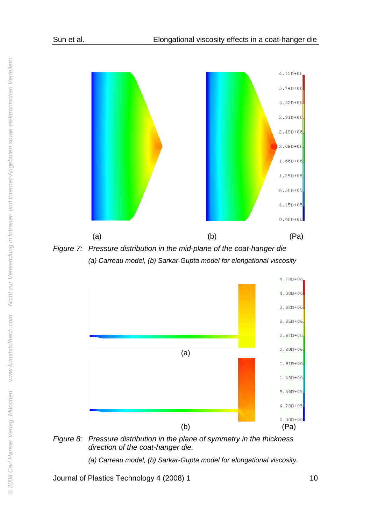

*(a) Carreau model, (b) Sarkar-Gupta model for elongational viscosity* 



*Figure 8: Pressure distribution in the plane of symmetry in the thickness direction of the coat-hanger die.* 

*(a) Carreau model, (b) Sarkar-Gupta model for elongational viscosity.* 

Journal of Plastics Technology 4 (2008) 1 10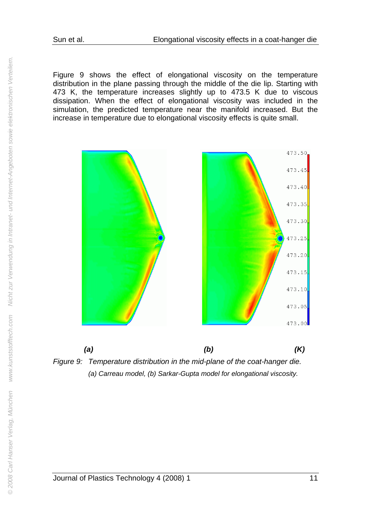Figure 9 shows the effect of elongational viscosity on the temperature distribution in the plane passing through the middle of the die lip. Starting with 473 K, the temperature increases slightly up to 473.5 K due to viscous dissipation. When the effect of elongational viscosity was included in the simulation, the predicted temperature near the manifold increased. But the increase in temperature due to elongational viscosity effects is quite small.



*Figure 9: Temperature distribution in the mid-plane of the coat-hanger die. (a) Carreau model, (b) Sarkar-Gupta model for elongational viscosity.*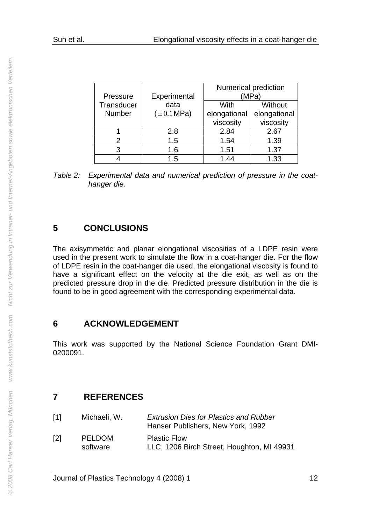|               |                         |              | Numerical prediction |  |  |
|---------------|-------------------------|--------------|----------------------|--|--|
| Pressure      | Experimental            | (MPa`        |                      |  |  |
| Transducer    | data                    | With         | Without              |  |  |
| <b>Number</b> | $(\pm 0.1 \text{ MPa})$ | elongational | elongational         |  |  |
|               |                         | viscosity    | viscosity            |  |  |
|               | 2.8                     | 2.84         | 2.67                 |  |  |
| 2             | 1.5                     | 1.54         | 1.39                 |  |  |
| 3             | 1.6                     | 1.51         | 1.37                 |  |  |
|               | 1.5                     | 1.44         | 1.33                 |  |  |

*Table 2: Experimental data and numerical prediction of pressure in the coathanger die.* 

#### **5 CONCLUSIONS**

The axisymmetric and planar elongational viscosities of a LDPE resin were used in the present work to simulate the flow in a coat-hanger die. For the flow of LDPE resin in the coat-hanger die used, the elongational viscosity is found to have a significant effect on the velocity at the die exit, as well as on the predicted pressure drop in the die. Predicted pressure distribution in the die is found to be in good agreement with the corresponding experimental data.

#### **6 ACKNOWLEDGEMENT**

This work was supported by the National Science Foundation Grant DMI-0200091.

### **7 REFERENCES**

| [1] | Michaeli, W.              | <b>Extrusion Dies for Plastics and Rubber</b><br>Hanser Publishers, New York, 1992 |
|-----|---------------------------|------------------------------------------------------------------------------------|
| [2] | <b>PELDOM</b><br>software | <b>Plastic Flow</b><br>LLC, 1206 Birch Street, Houghton, MI 49931                  |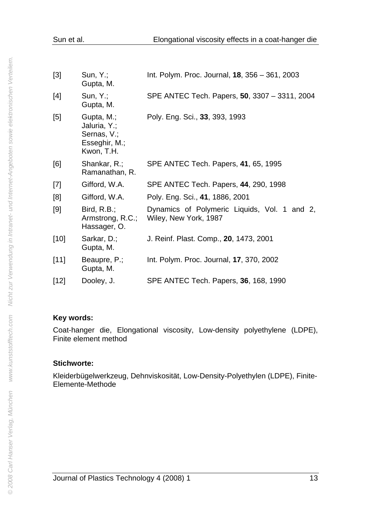| $[3]$  | $Sun, Y$ .;<br>Gupta, M.                                                 | Int. Polym. Proc. Journal, 18, 356 - 361, 2003                        |
|--------|--------------------------------------------------------------------------|-----------------------------------------------------------------------|
| [4]    | Sun, Y.;<br>Gupta, M.                                                    | SPE ANTEC Tech. Papers, 50, 3307 - 3311, 2004                         |
| [5]    | Gupta, M.;<br>Jaluria, Y.;<br>Sernas, V.;<br>Esseghir, M.;<br>Kwon, T.H. | Poly. Eng. Sci., 33, 393, 1993                                        |
| [6]    | Shankar, R.;<br>Ramanathan, R.                                           | SPE ANTEC Tech. Papers, 41, 65, 1995                                  |
| $[7]$  | Gifford, W.A.                                                            | SPE ANTEC Tech. Papers, 44, 290, 1998                                 |
| [8]    | Gifford, W.A.                                                            | Poly. Eng. Sci., 41, 1886, 2001                                       |
| [9]    | Bird, $R.B.;$<br>Armstrong, R.C.;<br>Hassager, O.                        | Dynamics of Polymeric Liquids, Vol. 1 and 2,<br>Wiley, New York, 1987 |
| $[10]$ | Sarkar, D.;<br>Gupta, M.                                                 | J. Reinf. Plast. Comp., 20, 1473, 2001                                |
| [11]   | Beaupre, P.;<br>Gupta, M.                                                | Int. Polym. Proc. Journal, 17, 370, 2002                              |
| $[12]$ | Dooley, J.                                                               | SPE ANTEC Tech. Papers, 36, 168, 1990                                 |

#### **Key words:**

Coat-hanger die, Elongational viscosity, Low-density polyethylene (LDPE), Finite element method

#### **Stichworte:**

Kleiderbügelwerkzeug, Dehnviskosität, Low-Density-Polyethylen (LDPE), Finite-Elemente-Methode

Journal of Plastics Technology 4 (2008) 1 13